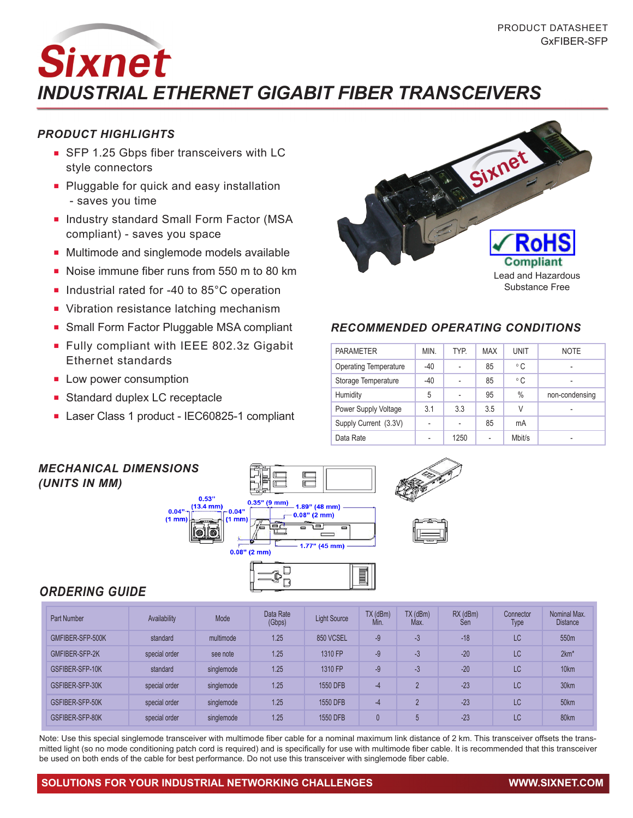# **Sixnet** *INDUSTRIAL ETHERNET GIGABIT FIBER TRANSCEIVERS*

#### *PRODUCT HIGHLIGHTS*

- **FILM** SFP 1.25 Gbps fiber transceivers with LC style connectors
- Pluggable for quick and easy installation - saves you time
- **n** Industry standard Small Form Factor (MSA compliant) - saves you space
- Multimode and singlemode models available
- Noise immune fiber runs from 550 m to 80 km
- Industrial rated for -40 to  $85^{\circ}$ C operation
- Vibration resistance latching mechanism
- **n** Small Form Factor Pluggable MSA compliant
- <sup>n</sup> Fully compliant with IEEE 802.3z Gigabit Ethernet standards
- **Low power consumption**
- **Exercise Standard duplex LC receptacle**
- Laser Class 1 product IEC60825-1 compliant



### *RECOMMENDED OPERATING CONDITIONS*

| <b>PARAMETER</b>             | MIN.                     | <b>TYP</b>     | <b>MAX</b> | <b>UNIT</b>   | <b>NOTE</b>    |
|------------------------------|--------------------------|----------------|------------|---------------|----------------|
| <b>Operating Temperature</b> | $-40$                    |                | 85         | $^{\circ}$ C  | ٠              |
| Storage Temperature          | $-40$                    |                | 85         | $^{\circ}$ C  |                |
| Humidity                     | 5                        |                | 95         | $\frac{0}{0}$ | non-condensing |
| Power Supply Voltage         | 3.1                      | 3.3            | 3.5        | V             |                |
| Supply Current (3.3V)        | $\overline{\phantom{a}}$ | $\overline{a}$ | 85         | mA            |                |
| Data Rate                    |                          | 1250           |            | Mbit/s        |                |



## *ORDERING GUIDE*

| <b>Part Number</b> | Availability  | Mode       | Data Rate<br>(Gbps) | <b>Light Source</b> | $TX$ ( $dBm$ )<br>Min. | $TX$ ( $dBm$ )<br>Max. | $RX$ (dBm)<br>Sen | Connector<br><b>Type</b> | Nominal Max.<br><b>Distance</b> |
|--------------------|---------------|------------|---------------------|---------------------|------------------------|------------------------|-------------------|--------------------------|---------------------------------|
| GMFIBER-SFP-500K   | standard      | multimode  | 1.25                | 850 VCSEL           | $-9$                   | $-3$                   | $-18$             | LC                       | 550m                            |
| GMFIBER-SFP-2K     | special order | see note   | 1.25                | 1310 FP             | $-9$                   | -3                     | $-20$             | LC                       | $2km*$                          |
| GSFIBER-SFP-10K    | standard      | singlemode | 1.25                | 1310 FP             | $-9$                   | -3                     | $-20$             | LC                       | 10km                            |
| GSFIBER-SFP-30K    | special order | singlemode | 1.25                | 1550 DFB            | $-4$                   | $\Omega$               | $-23$             | LC                       | 30km                            |
| GSFIBER-SFP-50K    | special order | singlemode | 1.25                | 1550 DFB            | $-4$                   | $\Omega$               | $-23$             | LC                       | 50km                            |
| GSFIBER-SFP-80K    | special order | singlemode | 1.25                | 1550 DFB            | $\mathbf{0}$           | 5                      | $-23$             | LC.                      | 80km                            |

Note: Use this special singlemode transceiver with multimode fiber cable for a nominal maximum link distance of 2 km. This transceiver offsets the transmitted light (so no mode conditioning patch cord is required) and is specifically for use with multimode fiber cable. It is recommended that this transceiver be used on both ends of the cable for best performance. Do not use this transceiver with singlemode fiber cable.

#### **SOLUTIONS FOR YOUR INDUSTRIAL NETWORKING CHALLENGES WWW.SIXNET.COM**